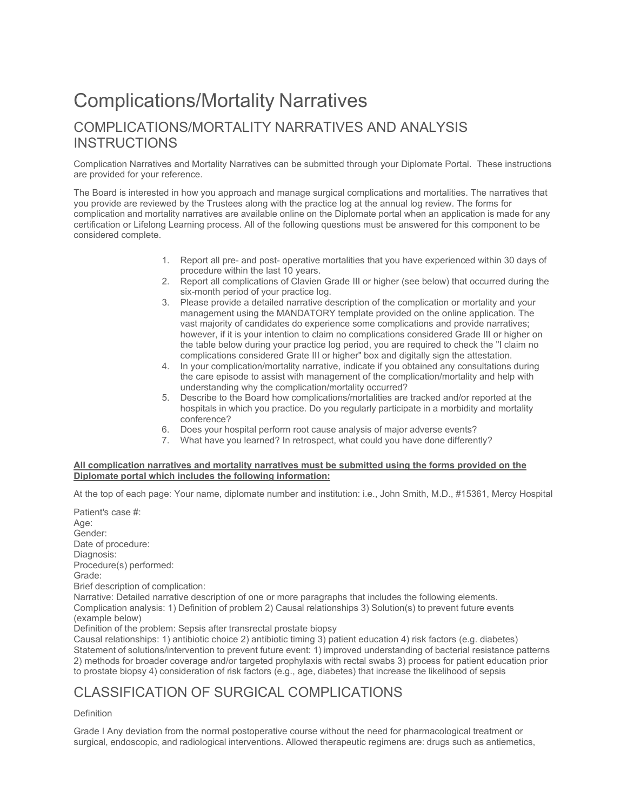## Complications/Mortality Narratives COMPLICATIONS/MORTALITY NARRATIVES AND ANALYSIS **INSTRUCTIONS**

Complication Narratives and Mortality Narratives can be submitted through your Diplomate Portal. These instructions are provided for your reference.

The Board is interested in how you approach and manage surgical complications and mortalities. The narratives that you provide are reviewed by the Trustees along with the practice log at the annual log review. The forms for complication and mortality narratives are available online on the Diplomate portal when an application is made for any certification or Lifelong Learning process. All of the following questions must be answered for this component to be considered complete.

- 1. Report all pre- and post- operative mortalities that you have experienced within 30 days of procedure within the last 10 years.
- 2. Report all complications of Clavien Grade III or higher (see below) that occurred during the six-month period of your practice log.
- 3. Please provide a detailed narrative description of the complication or mortality and your management using the MANDATORY template provided on the online application. The vast majority of candidates do experience some complications and provide narratives; however, if it is your intention to claim no complications considered Grade III or higher on the table below during your practice log period, you are required to check the "I claim no complications considered Grate III or higher" box and digitally sign the attestation.
- 4. In your complication/mortality narrative, indicate if you obtained any consultations during the care episode to assist with management of the complication/mortality and help with understanding why the complication/mortality occurred?
- 5. Describe to the Board how complications/mortalities are tracked and/or reported at the hospitals in which you practice. Do you regularly participate in a morbidity and mortality conference?
- 6. Does your hospital perform root cause analysis of major adverse events?
- 7. What have you learned? In retrospect, what could you have done differently?

## **All complication narratives and mortality narratives must be submitted using the forms provided on the Diplomate portal which includes the following information:**

At the top of each page: Your name, diplomate number and institution: i.e., John Smith, M.D., #15361, Mercy Hospital

Patient's case #: Age: Gender: Date of procedure: Diagnosis: Procedure(s) performed: Grade: Brief description of complication: Narrative: Detailed narrative description of one or more paragraphs that includes the following elements. Complication analysis: 1) Definition of problem 2) Causal relationships 3) Solution(s) to prevent future events (example below) Definition of the problem: Sepsis after transrectal prostate biopsy Causal relationships: 1) antibiotic choice 2) antibiotic timing 3) patient education 4) risk factors (e.g. diabetes) Statement of solutions/intervention to prevent future event: 1) improved understanding of bacterial resistance patterns 2) methods for broader coverage and/or targeted prophylaxis with rectal swabs 3) process for patient education prior to prostate biopsy 4) consideration of risk factors (e.g., age, diabetes) that increase the likelihood of sepsis

## CLASSIFICATION OF SURGICAL COMPLICATIONS

## Definition

Grade I Any deviation from the normal postoperative course without the need for pharmacological treatment or surgical, endoscopic, and radiological interventions. Allowed therapeutic regimens are: drugs such as antiemetics,